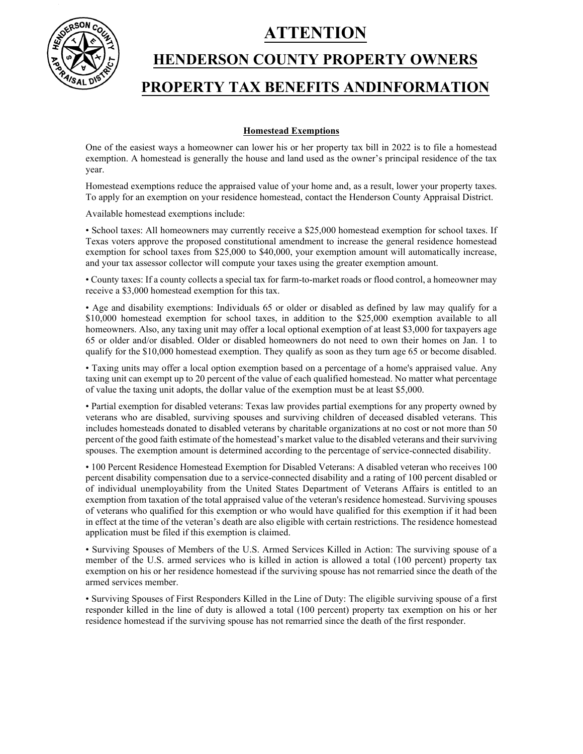**ATTENTION** 



# **HENDERSON COUNTY PROPERTY OWNERS PROPERTY TAX BENEFITS ANDINFORMATION**

## **Homestead Exemptions**

One of the easiest ways a homeowner can lower his or her property tax bill in 2022 is to file a homestead exemption. A homestead is generally the house and land used as the owner's principal residence of the tax year.

Homestead exemptions reduce the appraised value of your home and, as a result, lower your property taxes. To apply for an exemption on your residence homestead, contact the Henderson County Appraisal District.

Available homestead exemptions include:

• School taxes: All homeowners may currently receive a \$25,000 homestead exemption for school taxes. If Texas voters approve the proposed constitutional amendment to increase the general residence homestead exemption for school taxes from \$25,000 to \$40,000, your exemption amount will automatically increase, and your tax assessor collector will compute your taxes using the greater exemption amount.

• County taxes: If a county collects a special tax for farm-to-market roads or flood control, a homeowner may receive a \$3,000 homestead exemption for this tax.

• Age and disability exemptions: Individuals 65 or older or disabled as defined by law may qualify for a \$10,000 homestead exemption for school taxes, in addition to the \$25,000 exemption available to all homeowners. Also, any taxing unit may offer a local optional exemption of at least \$3,000 for taxpayers age 65 or older and/or disabled. Older or disabled homeowners do not need to own their homes on Jan. 1 to qualify for the \$10,000 homestead exemption. They qualify as soon as they turn age 65 or become disabled.

• Taxing units may offer a local option exemption based on a percentage of a home's appraised value. Any taxing unit can exempt up to 20 percent of the value of each qualified homestead. No matter what percentage of value the taxing unit adopts, the dollar value of the exemption must be at least \$5,000.

• Partial exemption for disabled veterans: Texas law provides partial exemptions for any property owned by veterans who are disabled, surviving spouses and surviving children of deceased disabled veterans. This includes homesteads donated to disabled veterans by charitable organizations at no cost or not more than 50 percent of the good faith estimate of the homestead's market value to the disabled veterans and their surviving spouses. The exemption amount is determined according to the percentage of service-connected disability.

• 100 Percent Residence Homestead Exemption for Disabled Veterans: A disabled veteran who receives 100 percent disability compensation due to a service-connected disability and a rating of 100 percent disabled or of individual unemployability from the United States Department of Veterans Affairs is entitled to an exemption from taxation of the total appraised value of the veteran's residence homestead. Surviving spouses of veterans who qualified for this exemption or who would have qualified for this exemption if it had been in effect at the time of the veteran's death are also eligible with certain restrictions. The residence homestead application must be filed if this exemption is claimed.

• Surviving Spouses of Members of the U.S. Armed Services Killed in Action: The surviving spouse of a member of the U.S. armed services who is killed in action is allowed a total (100 percent) property tax exemption on his or her residence homestead if the surviving spouse has not remarried since the death of the armed services member.

• Surviving Spouses of First Responders Killed in the Line of Duty: The eligible surviving spouse of a first responder killed in the line of duty is allowed a total (100 percent) property tax exemption on his or her residence homestead if the surviving spouse has not remarried since the death of the first responder.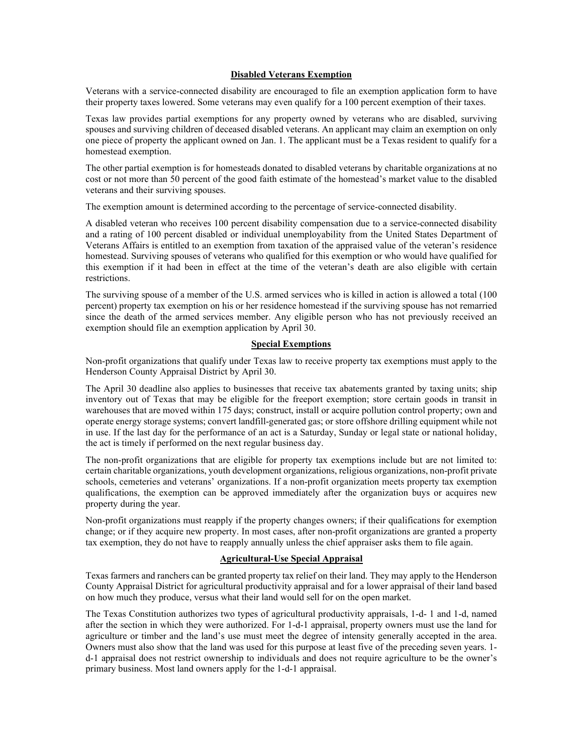### **Disabled Veterans Exemption**

Veterans with a service-connected disability are encouraged to file an exemption application form to have their property taxes lowered. Some veterans may even qualify for a 100 percent exemption of their taxes.

Texas law provides partial exemptions for any property owned by veterans who are disabled, surviving spouses and surviving children of deceased disabled veterans. An applicant may claim an exemption on only one piece of property the applicant owned on Jan. 1. The applicant must be a Texas resident to qualify for a homestead exemption.

The other partial exemption is for homesteads donated to disabled veterans by charitable organizations at no cost or not more than 50 percent of the good faith estimate of the homestead's market value to the disabled veterans and their surviving spouses.

The exemption amount is determined according to the percentage of service-connected disability.

A disabled veteran who receives 100 percent disability compensation due to a service-connected disability and a rating of 100 percent disabled or individual unemployability from the United States Department of Veterans Affairs is entitled to an exemption from taxation of the appraised value of the veteran's residence homestead. Surviving spouses of veterans who qualified for this exemption or who would have qualified for this exemption if it had been in effect at the time of the veteran's death are also eligible with certain restrictions.

The surviving spouse of a member of the U.S. armed services who is killed in action is allowed a total (100 percent) property tax exemption on his or her residence homestead if the surviving spouse has not remarried since the death of the armed services member. Any eligible person who has not previously received an exemption should file an exemption application by April 30.

## **Special Exemptions**

Non-profit organizations that qualify under Texas law to receive property tax exemptions must apply to the Henderson County Appraisal District by April 30.

The April 30 deadline also applies to businesses that receive tax abatements granted by taxing units; ship inventory out of Texas that may be eligible for the freeport exemption; store certain goods in transit in warehouses that are moved within 175 days; construct, install or acquire pollution control property; own and operate energy storage systems; convert landfill-generated gas; or store offshore drilling equipment while not in use. If the last day for the performance of an act is a Saturday, Sunday or legal state or national holiday, the act is timely if performed on the next regular business day.

The non-profit organizations that are eligible for property tax exemptions include but are not limited to: certain charitable organizations, youth development organizations, religious organizations, non-profit private schools, cemeteries and veterans' organizations. If a non-profit organization meets property tax exemption qualifications, the exemption can be approved immediately after the organization buys or acquires new property during the year.

Non-profit organizations must reapply if the property changes owners; if their qualifications for exemption change; or if they acquire new property. In most cases, after non-profit organizations are granted a property tax exemption, they do not have to reapply annually unless the chief appraiser asks them to file again.

### **Agricultural-Use Special Appraisal**

Texas farmers and ranchers can be granted property tax relief on their land. They may apply to the Henderson County Appraisal District for agricultural productivity appraisal and for a lower appraisal of their land based on how much they produce, versus what their land would sell for on the open market.

The Texas Constitution authorizes two types of agricultural productivity appraisals, 1-d- 1 and 1-d, named after the section in which they were authorized. For 1-d-1 appraisal, property owners must use the land for agriculture or timber and the land's use must meet the degree of intensity generally accepted in the area. Owners must also show that the land was used for this purpose at least five of the preceding seven years. 1 d-1 appraisal does not restrict ownership to individuals and does not require agriculture to be the owner's primary business. Most land owners apply for the 1-d-1 appraisal.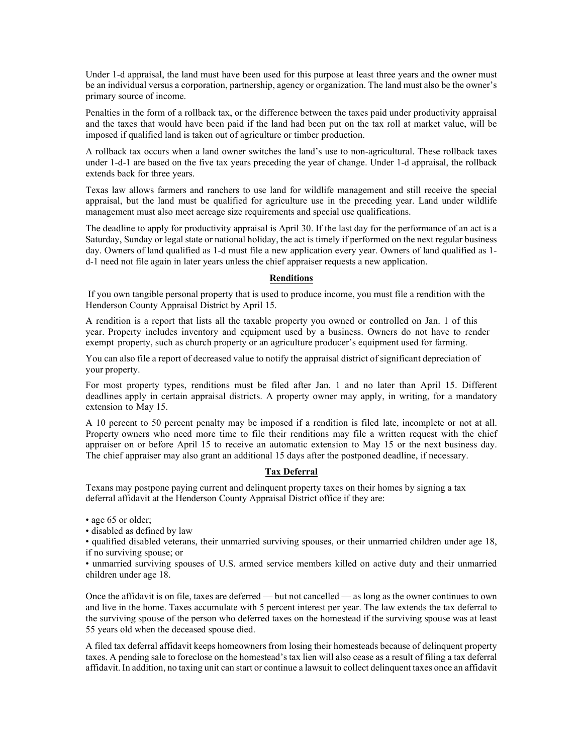Under 1-d appraisal, the land must have been used for this purpose at least three years and the owner must be an individual versus a corporation, partnership, agency or organization. The land must also be the owner's primary source of income.

Penalties in the form of a rollback tax, or the difference between the taxes paid under productivity appraisal and the taxes that would have been paid if the land had been put on the tax roll at market value, will be imposed if qualified land is taken out of agriculture or timber production.

A rollback tax occurs when a land owner switches the land's use to non-agricultural. These rollback taxes under 1-d-1 are based on the five tax years preceding the year of change. Under 1-d appraisal, the rollback extends back for three years.

Texas law allows farmers and ranchers to use land for wildlife management and still receive the special appraisal, but the land must be qualified for agriculture use in the preceding year. Land under wildlife management must also meet acreage size requirements and special use qualifications.

The deadline to apply for productivity appraisal is April 30. If the last day for the performance of an act is a Saturday, Sunday or legal state or national holiday, the act is timely if performed on the next regular business day. Owners of land qualified as 1-d must file a new application every year. Owners of land qualified as 1 d-1 need not file again in later years unless the chief appraiser requests a new application.

## **Renditions**

If you own tangible personal property that is used to produce income, you must file a rendition with the Henderson County Appraisal District by April 15.

A rendition is a report that lists all the taxable property you owned or controlled on Jan. 1 of this year. Property includes inventory and equipment used by a business. Owners do not have to render exempt property, such as church property or an agriculture producer's equipment used for farming.

You can also file a report of decreased value to notify the appraisal district of significant depreciation of your property.

For most property types, renditions must be filed after Jan. 1 and no later than April 15. Different deadlines apply in certain appraisal districts. A property owner may apply, in writing, for a mandatory extension to May 15.

A 10 percent to 50 percent penalty may be imposed if a rendition is filed late, incomplete or not at all. Property owners who need more time to file their renditions may file a written request with the chief appraiser on or before April 15 to receive an automatic extension to May 15 or the next business day. The chief appraiser may also grant an additional 15 days after the postponed deadline, if necessary.

## **Tax Deferral**

Texans may postpone paying current and delinquent property taxes on their homes by signing a tax deferral affidavit at the Henderson County Appraisal District office if they are:

- age 65 or older;
- disabled as defined by law

• qualified disabled veterans, their unmarried surviving spouses, or their unmarried children under age 18, if no surviving spouse; or

• unmarried surviving spouses of U.S. armed service members killed on active duty and their unmarried children under age 18.

Once the affidavit is on file, taxes are deferred — but not cancelled — as long as the owner continues to own and live in the home. Taxes accumulate with 5 percent interest per year. The law extends the tax deferral to the surviving spouse of the person who deferred taxes on the homestead if the surviving spouse was at least 55 years old when the deceased spouse died.

A filed tax deferral affidavit keeps homeowners from losing their homesteads because of delinquent property taxes. A pending sale to foreclose on the homestead's tax lien will also cease as a result of filing a tax deferral affidavit. In addition, no taxing unit can start or continue a lawsuit to collect delinquent taxes once an affidavit